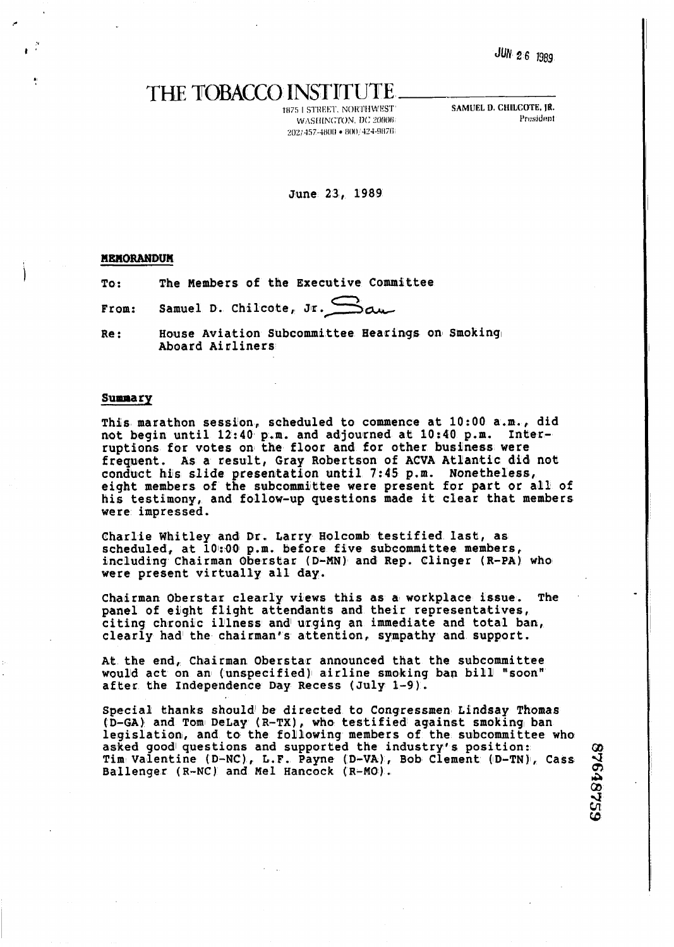**JUN 2 6 1989** 

I& **Q9**  4 Ql

**cD** 

## THE TOBACCO INSTITUTE

<sup>11175</sup>**1** STREW. NOIYI1f1WI!S'I' **SAMUEL D. CHIIUCOTE, 1R.**  WASHINGTON. DC 20006  $202/457-4800 \bullet 800/424-9876$ 

June 23, 1989

## **MEMORANDUM**

**To** : **The Members of the Executive Committee** 

**From:** Samuel D. Chilcote, Jr. Sam

Re: **House Aviation Subcommittee Hearings on Smoking Aboard Airliners** 

## **Summary**

**This marathon session, scheduled to commence at 10:OO a.m., did**  not begin until 12:40 p.m. and adjourned at 10:40 p.m. Interruptions for votes on the floor and for other business were frequent. As a result, Gray Robertson of ACVA Atlantic did not **condblct bts slide presentation until 7:45 p.m. Nonetheless, eight members of the subcommittee were present for part or all of His testimony, and follow-up questions made it clear that members were impressed.** 

**Charlie Whitley and Dr. Larry Holcomb testified last, as**  scheduled, at 10:00 p.m. before five subcommittee members, including Chairman Oberstar (D-MN) and Rep. Clinger (R-PA) who **were present virtually all day.** 

Chairman Oberstar clearly views this as a workplace issue. The panel of eight flight attendants and their representatives, citing chronic illness and urging an immediate and total ban, **clearly had the chairmamfs attention, sympathy and support.** 

At the end, Chairman Oberstar announced that the subcommittee **would act on an (unspecified) airline smoking ban bill' "soon" aftier the Independence Day Recess (July 1-9).** 

Special thanks should be directed to Congressmen Lindsay Thomas (D-GA) and Tom DeLay (R-TX), who testified against smoking ban  **legislation^, and to the following members of the subcommittee who**  asked good questions and supported the industry's position: Tim Valentine (D-NC), L.F. Payne (D-VA), Bob Clement (D-TN), Cass Ballenger (R-NC) and Mel Hancock (R-MO).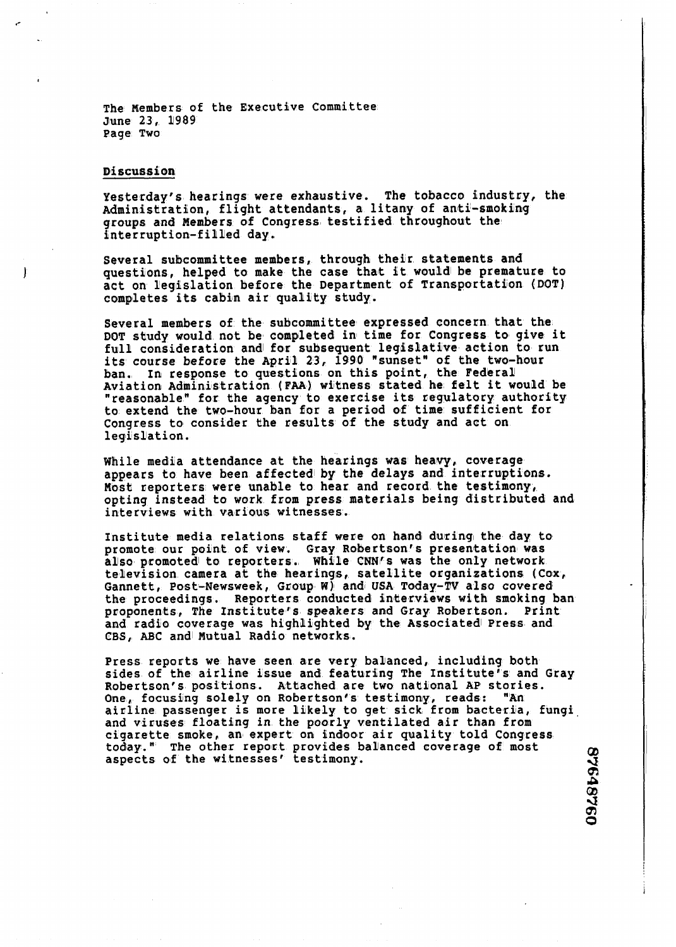The Members of the Executive Committee June 23, 1989 **Page TWO** 

## Discussion

**Yesterday's hearings were exhaustive. The tobacco industry, the**  Administration, flight attendants, a litany of anti-smoking **groups and Members of Congress testified throughout the interruption-filUed day.** 

**Several subcommittee members, through their statements and**  questions, helped to make the case that it would be premature to act on legislation before the Department of Transportation (DOT) **completes its cabin air quality study.** 

**Several members of the subcommittee expressed concern that the DOT study would not be completed in time for Congress to give it**  full consideration and for subsequent legislative action to run its course before the April 23, 1990 "sunset" of the two-hour **ban. In respo~nse to questions on this point, the FedhraU**  Aviation Administration (FAA) witness stated he felt it would be **'reasonable" for the agency to exercise its regulatory authority to extend the two-hour blan Eor a period of time sufficient for Congress to consider the results of the study and act on**  legislation.

**While medlia attendance at the heatimgs was heavy, coverage**  appears to have been affected by the delays and interruptions. **Most reporters were unable to hear and record the testimony, opting instead to work from press materials being distributed and**  interviews with various witnesses.

Institute media relations staff were on hand during the day to promote our point of **view.** Gray Robertson's presentation was also promoted to reporters. While CNN**Is was the only network** television camera at the hearings, satellite organizations (Cox, Gannett, Post-Newsweek, Group W) and USA Today-TV also covered **the proceedimgs. Reporters conducted interviews with smoking ban proponenltis, The Institute's speakers and Gray Robertson. Print**  and radio coverage was highlighted by the Associated Press and CBS, ABC and Mutual Radio networks.

Press reports we have seen are very balanced, including both **sides of the airline issue and featuring The Institute" and Gray**  Robertson's positions. Attached are two national AP stories. One, focusing solely on Robertson's testimony, reads: "An **airline passenger is more likely to get sick from bacteria, fungi and viruses floating in the poorly ventilated air than from**  cigarette smoke, an expert on indoor air quality told Congress today." The other report provides balanced coverage of most  $\qquad \qquad \textrm{or} \qquad \qquad$ 

**43 Q, P Cb 43**  m **0**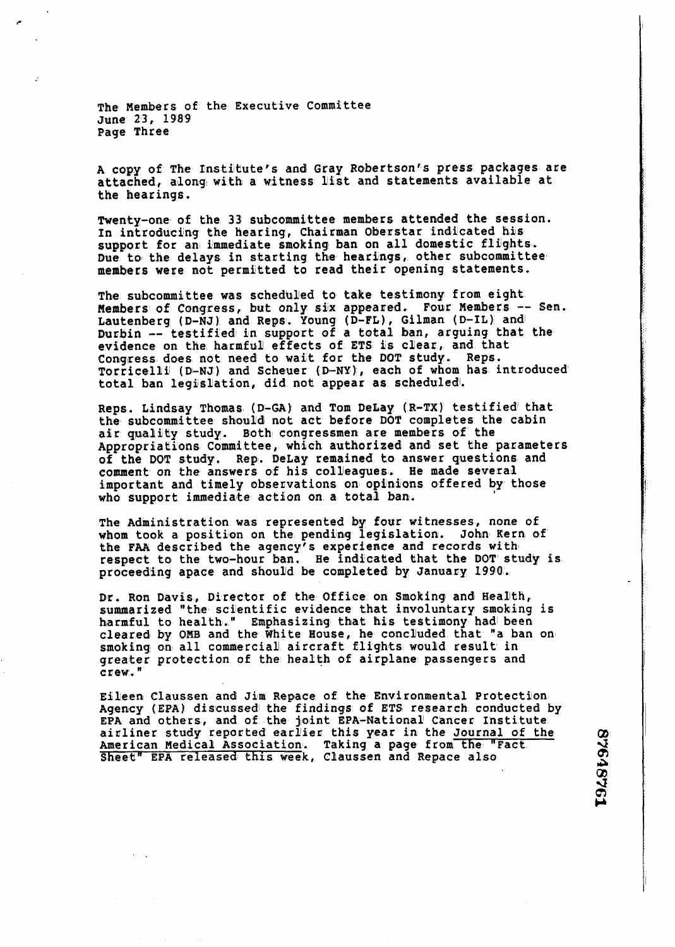The Members of the Executive Committee June 23, 1989 Page Three

A copy of The Institute's and Gray Robertson's press packages are attached, along with a witness list and statements available at the hearings.

Twenty-one of the 33 subcommittee members attended the session. In introducing the hearing, Chairman Oberstar indicated his support for an immediate smoking ban on all domestic flights. Due to the delays in starting the hearings, other subcommittee members were not permitted to read their opening statements.

The subcommittee was scheduled to take testimony from eight. Members of Congress, but only six appeared. Four Members -- Sen. Lautenberg (D-NJ) and Reps. Young (D-FL), Gilman (D-IL) and<br>Durbin -- testified in support of a total ban, arguing that the evidence on the harmful effects of ETS is clear, and that Congress does not need to wait for the DOT study. Reps. Torricelli (D-NJ) and Scheuer (D-NY), each of whom has introduced total ban legislation, did not appear as scheduled.

Reps. Lindsay Thomas **(D-GA)** and Tom DeLay **(R-PX)** testiffiedl that the subcommittee should not act befiore DOT completes the cabin air quality study. Both congressmen are members of the Appropriations Committee, which authorized and set the parameters of the DOT study. Rep. DeLay remained to answer questions and comment on the anawers of his colleagues. **He** made several important and timely observations on opinions offered by those who support immediate action on a total ban.

The Administration was represented by four witnesses, none of whom took a position on the pending legislation. John Rern of the **FaA** described the agency's experience and records with! respect to the two-hour ban. He indicated that the DOT study is proceeding apace and should be completed by January 1990.

Dr. Ron Davis, Director of the Office on Smoking and Health, summarized "the scientific evidence that involuntary smoking is harmful to health." Emphasizing that his testimony had been cleared by OMB and the White House, he concluded that "a ban on smoking on all commercial aircraft flights would result in greater protection of the health of airplane passengers and crew."

Eileen Claussen and Jim Repace of the Environmental Protection Agency (EPA) discussed the findings of ETS research conducted by EPA and others, and of the joint EPA-National Cancer Institute airliner study reported earlier this year in the Journal of the American Medical Association. Taking a page from the "Fact displace" and Repace also displace this week, Claussen and Repace also

**a 8 4f** 

<u>ဘူး </u> **Cu**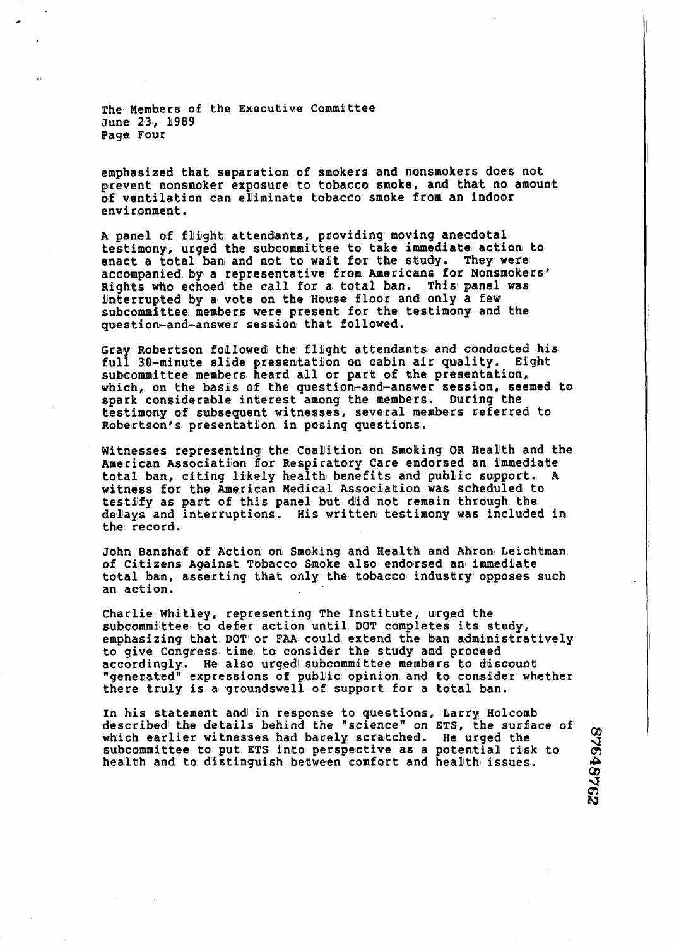**The Members of the Executiue Committee**  June 23, 1989 **Page Four** 

emphasized that separation of smokers and nonsmokers does not prevent nonsmoker exposure to tobacco smoke, and that no amount **elf ventilation can eliminate tobacco smoke from am indoor environment.** 

**A panel of flight attendants, providing moving anecdotal**  testimony, urged the subcommittee to take immediate action to enact a total ban and not to wait for the study. They were enact a total ban and not to wait for the study. accompanied by a representative from Americans for Nonsmokers<sup>"</sup> **Rights who echoed the call for a total baa. This panel was**  interrupted by a vote on the House floor and only a few **sulbcommittee members were present bor the testimony and tihe question-and-answer session iihat followed.** 

Gray Robertson followed the flight attendants and conducted his  $f(n)$  **1** 30-minute slide presentation on cabin air quality. Eight full 30-minute slide presentation on cabin air quality. subcommittee members heard all or part of the presentation, which, on the basis of the question-and-answer session, seemed to **spark considerable interest among the members. During the testimony of subsequent witnesses, several members referred to**  Robertson's presentation in posing questions.

**Witnesses representing the Coamition on Smoking OR Health and the**  American Association for Respiratory Care endorsed an immediate total ban, citing likely health benefits and public support. A **witness for the American Hedical Association was scheduled to**  testify as part of this panel but did not remain through the **delays and interruptions. His written testimony was included in**  the record.

**John Banzhaf of Action on Smoking and Health and Ahron Leichtiman of Citizens Againet Tobacco Smoke also endorsed an immedliate**  total ban, asserting that only the tobacco industry opposes such **an action.** 

Charlie Whitley, representing The Institute, urged the **subcommittee to defier action until DOT completes its study, emphasizing that DOT or FRA could extend the ban administratively**  to give Congress time to consider the study and proceed accordingly. He also urged subcommittee members to discount **"generated" expressions of public opinion and to consider whether** there truly is a groundswell of support for a total ban.

In his statement and in response to questions, Larry Holcomb **dkscribed th~e details behind the "science" on ETS, the surface of**  which earlier witnesses had barely scratched. He urged the subcommittee to put ETS into perspective as a potential risk to In his statement and in response to questions, Larry Holcomb<br>described the details behind the "science" on ETS, the surface of  $\alpha$ <br>which earlier witnesses had barely scratched. He urged the<br>subcommittee to put ETS into pe health and to distinguish between comfort and health issues.

**a 1 8**  -3 m **h3**